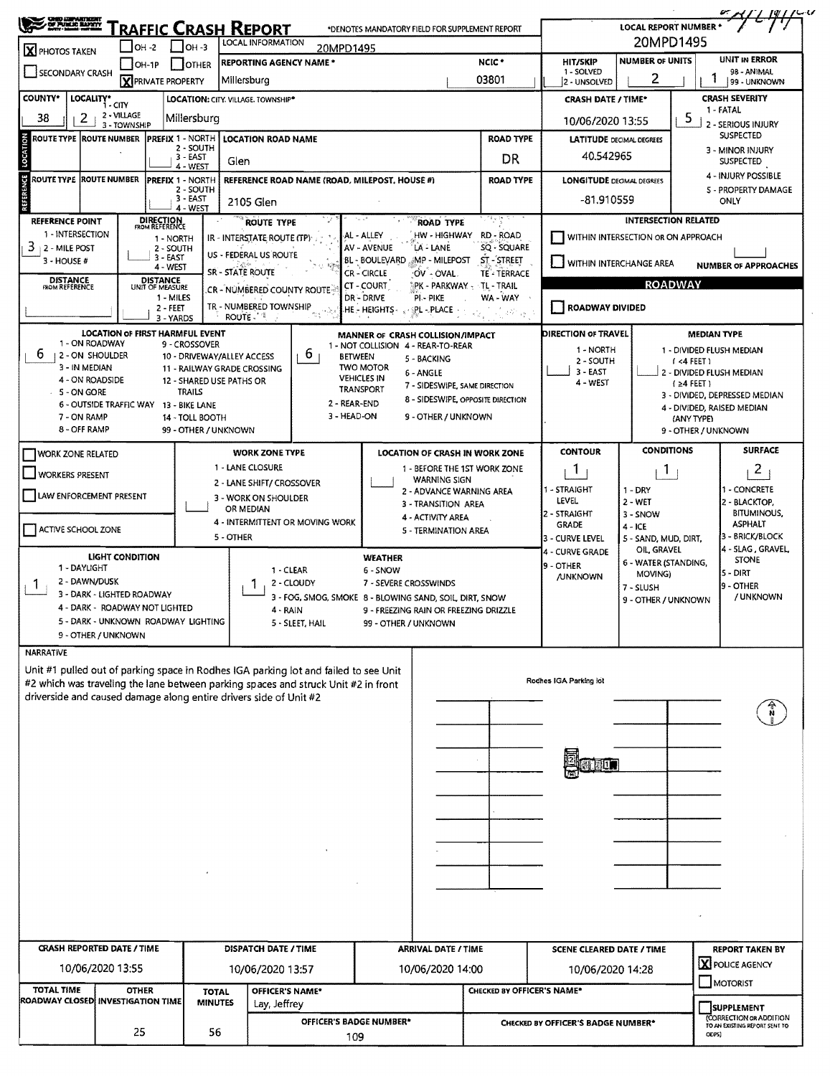| <b>CHEO LIMMATERIA</b><br>OF PUMAE MAPRY                                                  |                                        |                             |                                      |                                                                                           |                                                                                      |                                                                        |                                                 |                                                               |                                                            | <b>LOCAL REPORT NUMBER</b>         |                                     |                                                  |  |  |
|-------------------------------------------------------------------------------------------|----------------------------------------|-----------------------------|--------------------------------------|-------------------------------------------------------------------------------------------|--------------------------------------------------------------------------------------|------------------------------------------------------------------------|-------------------------------------------------|---------------------------------------------------------------|------------------------------------------------------------|------------------------------------|-------------------------------------|--------------------------------------------------|--|--|
|                                                                                           | $IOH -2$                               |                             | $I$ OH -3                            | RAFFIC CRASH REPORT<br>LOCAL INFORMATION                                                  |                                                                                      | *DENOTES MANDATORY FIELD FOR SUPPLEMENT REPORT                         |                                                 |                                                               |                                                            | 20MPD1495                          |                                     |                                                  |  |  |
| X PHOTOS TAKEN                                                                            |                                        |                             |                                      |                                                                                           | <b>REPORTING AGENCY NAME *</b>                                                       | 20MPD1495                                                              |                                                 | NCIC <sup>+</sup>                                             | UNIT IN ERROR<br><b>NUMBER OF UNITS</b><br><b>HIT/SKIP</b> |                                    |                                     |                                                  |  |  |
| $IOH-1P$<br><b>I</b> OTHER<br>SECONDARY CRASH<br><b>X</b> PRIVATE PROPERTY<br>Millersburg |                                        |                             |                                      |                                                                                           |                                                                                      |                                                                        | 1 - SOLVED<br>2 - UNSOLVED                      | 2                                                             |                                                            | 98 - ANIMAL<br>99 - UNKNOWN        |                                     |                                                  |  |  |
| COUNTY*                                                                                   |                                        |                             |                                      |                                                                                           |                                                                                      |                                                                        |                                                 | 03801                                                         |                                                            |                                    |                                     |                                                  |  |  |
| LOCALITY* CITY                                                                            | 2 - VILLAGE                            |                             |                                      | LOCATION: CITY, VILLAGE, TOWNSHIP*                                                        |                                                                                      |                                                                        |                                                 | <b>CRASH SEVERITY</b><br><b>CRASH DATE / TIME*</b><br>1-FATAL |                                                            |                                    |                                     |                                                  |  |  |
| 38<br>2                                                                                   | 3 - TOWNSHIP                           |                             | Millersburg                          |                                                                                           |                                                                                      |                                                                        |                                                 |                                                               | 10/06/2020 13:55                                           |                                    | 5                                   | 2 - SERIOUS INJURY                               |  |  |
| LOCATION<br>ROUTE TYPE ROUTE NUMBER                                                       |                                        |                             | <b>PREFIX 1 - NORTH</b><br>2 - SOUTH |                                                                                           | <b>LOCATION ROAD NAME</b>                                                            |                                                                        |                                                 | <b>ROAD TYPE</b>                                              | <b>LATITUDE</b> DECIMAL DEGREES                            |                                    |                                     | <b>SUSPECTED</b>                                 |  |  |
|                                                                                           |                                        |                             | 3 - EAST                             | Glen                                                                                      |                                                                                      |                                                                        |                                                 | DR                                                            | 40.542965                                                  |                                    |                                     | 3 - MINOR INJURY<br><b>SUSPECTED</b>             |  |  |
| <b>ROUTE TYPE ROUTE NUMBER</b>                                                            |                                        |                             | $4 - WEST$<br>PREFIX 1 - NORTH       |                                                                                           | REFERENCE ROAD NAME (ROAD, MILEPOST, HOUSE #)                                        |                                                                        |                                                 | ROAD TYPE                                                     | <b>LONGITUDE DECIMAL DEGREES</b>                           |                                    |                                     | 4 - INJURY POSSIBLE                              |  |  |
| REFERENCE                                                                                 |                                        |                             | 2 - SOUTH<br>$3 - EAST$              |                                                                                           |                                                                                      |                                                                        |                                                 |                                                               | $-81.910559$                                               |                                    |                                     | <b>S - PROPERTY DAMAGE</b>                       |  |  |
|                                                                                           |                                        |                             | $4 - WEST$                           | 2105 Glen                                                                                 |                                                                                      |                                                                        |                                                 |                                                               |                                                            |                                    |                                     | ONLY                                             |  |  |
| <b>REFERENCE POINT</b>                                                                    |                                        | DIRECTION<br>FROM REFERENCE |                                      |                                                                                           | ROUTE TYPE                                                                           |                                                                        | <b>ROAD TYPE</b>                                | 역 원장                                                          |                                                            | <b>INTERSECTION RELATED</b>        |                                     |                                                  |  |  |
| 1 - INTERSECTION<br>$3 + 2 -$ MILE POST                                                   |                                        | 1 - NORTH<br>2 - SOUTH      |                                      |                                                                                           | IR - INTERSTATE ROUTE (TP)                                                           | AL - ALLEY<br>AV - AVENUE                                              | LA - LANE                                       | HW-HIGHWAY RD-ROAD<br>SQ - SQUARE                             |                                                            | WITHIN INTERSECTION OR ON APPROACH |                                     |                                                  |  |  |
| 3 - HOUSE #                                                                               |                                        | $3 - EAST$<br>4 - WEST      |                                      | US - FEDERAL US ROUTE                                                                     |                                                                                      | <b>BL - BOULEVARD</b>                                                  | MP - MILEPOST                                   | ST - STREET                                                   | WITHIN INTERCHANGE AREA                                    |                                    |                                     | <b>NUMBER OF APPROACHES</b>                      |  |  |
| DISTANCE<br>ROM REFERENCE                                                                 |                                        | DISTANCE<br>UNIT OF MEASURE |                                      | SR - STATE ROUTE                                                                          |                                                                                      | <b>CR-CIRCLE</b>                                                       | OV - OVAL                                       | <b>TE - TERRACE</b>                                           |                                                            |                                    |                                     |                                                  |  |  |
|                                                                                           |                                        | 1 - MILES                   |                                      |                                                                                           | .CR – NÚMBERED COUNTY ROUTE                                                          | CT-COURT<br>DR - DRIVE                                                 | PK - PARKWAY - TL - TRAIL<br>PI - PIKE          | WA - WAY                                                      |                                                            |                                    | <b>ROADWAY</b>                      |                                                  |  |  |
|                                                                                           |                                        | $2 - FEET$                  |                                      | TR - NUMBERED TOWNSHIP<br><b>ROUTE</b>                                                    |                                                                                      | .HE - HEIGHTS -                                                        | PL - PLACE                                      | $d\mathcal{H}^* _{\mathcal{O}_\mathbf{F}^*}$                  | <b>ROADWAY DIVIDED</b>                                     |                                    |                                     |                                                  |  |  |
|                                                                                           | <b>LOCATION OF FIRST HARMFUL EVENT</b> | 3 - YARDS                   |                                      |                                                                                           |                                                                                      |                                                                        |                                                 |                                                               |                                                            |                                    |                                     |                                                  |  |  |
| 1 - ON ROADWAY                                                                            |                                        |                             | 9 - CROSSOVER                        |                                                                                           |                                                                                      | MANNER OF CRASH COLLISION/IMPACT<br>1 - NOT COLLISION 4 - REAR-TO-REAR |                                                 |                                                               | <b>DIRECTION OF TRAVEL</b><br>1 - NORTH                    |                                    |                                     | <b>MEDIAN TYPE</b><br>1 - DIVIDED FLUSH MEDIAN   |  |  |
| b<br>12-ON SHOULDER<br>3 - IN MEDIAN                                                      |                                        |                             |                                      | 10 - DRIVEWAY/ALLEY ACCESS                                                                | 6 <sub>1</sub>                                                                       | <b>BETWEEN</b><br><b>TWO MOTOR</b>                                     | 5 - BACKING                                     |                                                               | 2 - SOUTH                                                  |                                    | $(4$ FEET)                          |                                                  |  |  |
| 4 - ON ROADSIDE                                                                           |                                        |                             |                                      | 11 - RAILWAY GRADE CROSSING<br>12 - SHARED USE PATHS OR                                   |                                                                                      | <b>VEHICLES IN</b>                                                     | 6 - ANGLE                                       |                                                               | 3 - EAST<br>4 - WEST                                       | 2 - DIVIDED FLUSH MEDIAN           |                                     |                                                  |  |  |
| S - ON GORE                                                                               |                                        |                             | <b>TRAILS</b>                        |                                                                                           |                                                                                      | <b>TRANSPORT</b>                                                       | 7 - SIDESWIPE, SAME DIRECTION                   | 8 - SIDESWIPE, OPPOSITE DIRECTION                             |                                                            |                                    | $\left\{24 \text{ FLET } 1\right\}$ | 3 - DIVIDED, DEPRESSED MEDIAN                    |  |  |
| 7 - ON RAMP                                                                               | 6 - OUTSIDE TRAFFIC WAY 13 - BIKE LANE |                             | 14 - TOLL BOOTH                      |                                                                                           |                                                                                      | 2 - REAR-END<br>3 - HEAD-ON                                            | 9 - OTHER / UNKNOWN                             |                                                               |                                                            |                                    | (ANY TYPE)                          | 4 - DIVIDED, RAISED MEDIAN                       |  |  |
| 8 - OFF RAMP                                                                              |                                        |                             | 99 - OTHER / UNKNOWN                 |                                                                                           |                                                                                      |                                                                        |                                                 |                                                               |                                                            |                                    | 9 - OTHER / UNKNOWN                 |                                                  |  |  |
| <b>WORK ZONE RELATED</b>                                                                  |                                        |                             |                                      |                                                                                           | <b>WORK ZONE TYPE</b>                                                                |                                                                        |                                                 |                                                               | <b>CONTOUR</b>                                             | <b>CONDITIONS</b>                  |                                     | <b>SURFACE</b>                                   |  |  |
|                                                                                           |                                        |                             |                                      | <b>LOCATION OF CRASH IN WORK ZONE</b><br>1 - LANE CLOSURE<br>1 - BEFORE THE 1ST WORK ZONE |                                                                                      |                                                                        |                                                 |                                                               | -1                                                         | 1                                  |                                     | 2                                                |  |  |
| <b>WORKERS PRESENT</b>                                                                    |                                        |                             |                                      |                                                                                           | 2 - LANE SHIFT/ CROSSOVER                                                            |                                                                        | <b>WARNING SIGN</b>                             |                                                               | 1 - STRAIGHT                                               |                                    |                                     | - CONCRETE                                       |  |  |
| LAW ENFORCEMENT PRESENT                                                                   |                                        |                             |                                      | 3 - WORK ON SHOULDER                                                                      |                                                                                      |                                                                        | 2 - ADVANCE WARNING AREA<br>3 - TRANSITION AREA |                                                               | LEVEL                                                      | $1 - DRY$<br>$2 - WET$             |                                     | 2 - BLACKTOP,                                    |  |  |
|                                                                                           |                                        |                             |                                      | OR MEDIAN                                                                                 | 4 - INTERMITTENT OR MOVING WORK                                                      |                                                                        | 4 - ACTIVITY AREA                               |                                                               | 2 - STRAIGHT                                               | $3 -$ SNOW                         |                                     | <b>BITUMINOUS,</b>                               |  |  |
| ACTIVE SCHOOL ZONE                                                                        |                                        |                             |                                      | 5 - OTHER                                                                                 |                                                                                      |                                                                        | 5 - TERMINATION AREA                            |                                                               | <b>GRADE</b><br>3 - CURVE LEVEL                            | $4 - ICE$<br>5 - SAND, MUD, DIRT,  |                                     | <b>ASPHALT</b><br>- BRICK/BLOCK                  |  |  |
|                                                                                           | LIGHT CONDITION                        |                             |                                      |                                                                                           |                                                                                      |                                                                        |                                                 |                                                               | 4 - CURVE GRADE                                            | OIL GRAVEL                         |                                     | 4 - SLAG , GRAVEL,                               |  |  |
| 1 - DAYLIGHT                                                                              |                                        |                             |                                      |                                                                                           | 1 - CLEAR                                                                            | <b>WEATHER</b><br>6 - SNOW                                             |                                                 |                                                               | 9 - OTHER                                                  | 6 - WATER (STANDING,<br>MOVING)    |                                     | <b>STONE</b><br>5 - DIRT                         |  |  |
| 2 - DAWN/DUSK                                                                             |                                        |                             |                                      | 1.                                                                                        | 2 - CLOUDY                                                                           | 7 - SEVERE CROSSWINDS                                                  |                                                 |                                                               | <b>/UNKNOWN</b>                                            | 7 - SLUSH                          |                                     | l9 - OTHER                                       |  |  |
| 3 - DARK - LIGHTED ROADWAY                                                                | 4 - DARK - ROADWAY NOT LIGHTED         |                             |                                      |                                                                                           | 3 - FOG, SMOG, SMOKE 8 - BLOWING SAND, SOIL, DIRT, SNOW                              |                                                                        |                                                 |                                                               |                                                            | 9 - OTHER / UNKNOWN                |                                     | / UNKNOWN                                        |  |  |
|                                                                                           | 5 - DARK - UNKNOWN ROADWAY LIGHTING    |                             |                                      |                                                                                           | $4 - RAIN$<br>5 - SLEET, HAIL                                                        | 99 - OTHER / UNKNOWN                                                   | 9 - FREEZING RAIN OR FREEZING DRIZZLE           |                                                               |                                                            |                                    |                                     |                                                  |  |  |
|                                                                                           | 9 - OTHER / UNKNOWN                    |                             |                                      |                                                                                           |                                                                                      |                                                                        |                                                 |                                                               |                                                            |                                    |                                     |                                                  |  |  |
| <b>NARRATIVE</b>                                                                          |                                        |                             |                                      |                                                                                           |                                                                                      |                                                                        |                                                 |                                                               |                                                            |                                    |                                     |                                                  |  |  |
|                                                                                           |                                        |                             |                                      |                                                                                           | Unit #1 pulled out of parking space in Rodhes IGA parking lot and failed to see Unit |                                                                        |                                                 |                                                               |                                                            |                                    |                                     |                                                  |  |  |
| driverside and caused damage along entire drivers side of Unit #2                         |                                        |                             |                                      |                                                                                           | #2 which was traveling the lane between parking spaces and struck Unit #2 in front   |                                                                        |                                                 |                                                               | Rodhes IGA Parking lot                                     |                                    |                                     |                                                  |  |  |
|                                                                                           |                                        |                             |                                      |                                                                                           |                                                                                      |                                                                        |                                                 |                                                               |                                                            |                                    |                                     |                                                  |  |  |
|                                                                                           |                                        |                             |                                      |                                                                                           |                                                                                      |                                                                        |                                                 |                                                               |                                                            |                                    |                                     |                                                  |  |  |
|                                                                                           |                                        |                             |                                      |                                                                                           |                                                                                      |                                                                        |                                                 |                                                               |                                                            |                                    |                                     |                                                  |  |  |
|                                                                                           |                                        |                             |                                      |                                                                                           |                                                                                      |                                                                        |                                                 |                                                               |                                                            |                                    |                                     |                                                  |  |  |
|                                                                                           |                                        |                             |                                      |                                                                                           |                                                                                      |                                                                        |                                                 |                                                               |                                                            |                                    |                                     |                                                  |  |  |
|                                                                                           |                                        |                             |                                      |                                                                                           |                                                                                      |                                                                        |                                                 |                                                               |                                                            |                                    |                                     |                                                  |  |  |
|                                                                                           |                                        |                             |                                      |                                                                                           |                                                                                      |                                                                        |                                                 |                                                               |                                                            |                                    |                                     |                                                  |  |  |
|                                                                                           |                                        |                             |                                      |                                                                                           |                                                                                      |                                                                        |                                                 |                                                               |                                                            |                                    |                                     |                                                  |  |  |
|                                                                                           |                                        |                             |                                      |                                                                                           |                                                                                      |                                                                        |                                                 |                                                               |                                                            |                                    |                                     |                                                  |  |  |
|                                                                                           |                                        |                             |                                      |                                                                                           |                                                                                      |                                                                        |                                                 |                                                               |                                                            |                                    |                                     |                                                  |  |  |
|                                                                                           |                                        |                             |                                      |                                                                                           |                                                                                      |                                                                        |                                                 |                                                               |                                                            |                                    |                                     |                                                  |  |  |
|                                                                                           |                                        |                             |                                      |                                                                                           |                                                                                      |                                                                        |                                                 |                                                               |                                                            |                                    |                                     |                                                  |  |  |
|                                                                                           |                                        |                             |                                      |                                                                                           |                                                                                      |                                                                        |                                                 |                                                               |                                                            |                                    |                                     |                                                  |  |  |
| <b>CRASH REPORTED DATE / TIME</b>                                                         |                                        |                             |                                      |                                                                                           | DISPATCH DATE / TIME                                                                 |                                                                        | <b>ARRIVAL DATE / TIME</b>                      |                                                               |                                                            |                                    |                                     |                                                  |  |  |
|                                                                                           |                                        |                             |                                      |                                                                                           |                                                                                      |                                                                        |                                                 |                                                               | <b>SCENE CLEARED DATE / TIME</b>                           |                                    |                                     | <b>REPORT TAKEN BY</b><br><b>X</b> POLICE AGENCY |  |  |
| 10/06/2020 13:55                                                                          |                                        |                             |                                      |                                                                                           | 10/06/2020 13:57                                                                     |                                                                        | 10/06/2020 14:00                                |                                                               | 10/06/2020 14:28                                           |                                    |                                     | MOTORIST                                         |  |  |
| <b>TOTAL TIME</b><br>ROADWAY CLOSED INVESTIGATION TIME                                    | <b>OTHER</b>                           |                             | <b>TOTAL</b><br><b>MINUTES</b>       | OFFICER'S NAME*<br>Lay, Jeffrey                                                           |                                                                                      |                                                                        | CHECKED BY OFFICER'S NAME*                      |                                                               |                                                            |                                    |                                     |                                                  |  |  |
|                                                                                           |                                        |                             |                                      |                                                                                           |                                                                                      |                                                                        |                                                 |                                                               |                                                            |                                    |                                     | <b>SUPPLEMENT</b><br>CORRECTION OR ADDITION      |  |  |
|                                                                                           | 25                                     |                             | OFFICER'S BADGE NUMBER*<br>56<br>109 |                                                                                           |                                                                                      |                                                                        |                                                 |                                                               | TO AN EXISTING REPORT SENT TO<br>ODPS)                     |                                    |                                     |                                                  |  |  |
|                                                                                           |                                        |                             |                                      |                                                                                           |                                                                                      | CHECKED BY OFFICER'S BADGE NUMBER*                                     |                                                 |                                                               |                                                            |                                    |                                     |                                                  |  |  |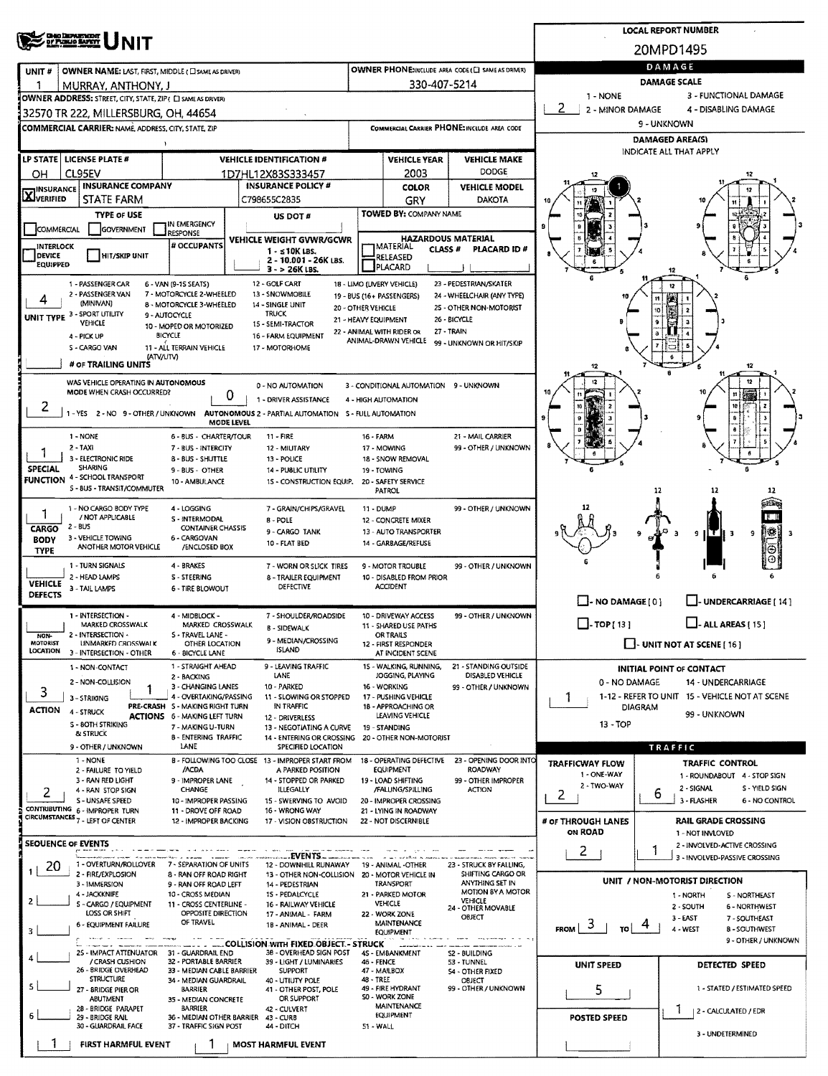|                                                                               |                                                                                                                                                     |                                                                        | <b>LOCAL REPORT NUMBER</b>                                              |                                            |                                                 |                                             |                                                   |                                                       |  |  |  |  |  |
|-------------------------------------------------------------------------------|-----------------------------------------------------------------------------------------------------------------------------------------------------|------------------------------------------------------------------------|-------------------------------------------------------------------------|--------------------------------------------|-------------------------------------------------|---------------------------------------------|---------------------------------------------------|-------------------------------------------------------|--|--|--|--|--|
|                                                                               | <b>CHIO DEPARTMENT</b><br>OF PUBLIO BAPETY                                                                                                          |                                                                        |                                                                         |                                            |                                                 |                                             |                                                   | 20MPD1495                                             |  |  |  |  |  |
| UNIT#                                                                         | OWNER NAME: LAST, FIRST, MIDDLE (C) SAME AS DRIVER)                                                                                                 |                                                                        | OWNER PHONE:INCLUDE AREA CODE (E) SAME AS DRIVER)                       | DAMAGE                                     |                                                 |                                             |                                                   |                                                       |  |  |  |  |  |
|                                                                               | MURRAY, ANTHONY, J                                                                                                                                  |                                                                        |                                                                         |                                            | 330-407-5214                                    |                                             |                                                   | <b>DAMAGE SCALE</b>                                   |  |  |  |  |  |
|                                                                               | OWNER ADDRESS: STREET, CITY, STATE, ZIP ( C SAME AS DRIVER)                                                                                         |                                                                        |                                                                         |                                            |                                                 |                                             | 1 - NONE<br>3 - FUNCTIONAL DAMAGE                 |                                                       |  |  |  |  |  |
|                                                                               | 32570 TR 222, MILLERSBURG, OH, 44654                                                                                                                |                                                                        |                                                                         |                                            |                                                 |                                             | 2<br>2 - MINOR DAMAGE<br>4 - DISABLING DAMAGE     |                                                       |  |  |  |  |  |
|                                                                               | COMMERCIAL CARRIER: NAME, ADDRESS, CITY, STATE, ZIP                                                                                                 |                                                                        |                                                                         |                                            |                                                 | COMMERCIAL CARRIER PHONE: INCLUDE AREA CODE | 9 - UNKNOWN                                       |                                                       |  |  |  |  |  |
|                                                                               |                                                                                                                                                     |                                                                        |                                                                         |                                            |                                                 |                                             | <b>DAMAGED AREA(S)</b><br>INDICATE ALL THAT APPLY |                                                       |  |  |  |  |  |
|                                                                               | LP STATE LICENSE PLATE #                                                                                                                            |                                                                        | <b>VEHICLE IDENTIFICATION #</b>                                         |                                            | <b>VEHICLE YEAR</b>                             | <b>VEHICLE MAKE</b><br>DODGE                |                                                   |                                                       |  |  |  |  |  |
| OН                                                                            | CL95EV<br><b>INSURANCE COMPANY</b>                                                                                                                  |                                                                        | 1D7HL12X83S333457<br><b>INSURANCE POLICY #</b>                          |                                            | 2003<br><b>COLOR</b>                            | <b>VEHICLE MODEL</b>                        |                                                   |                                                       |  |  |  |  |  |
| <b>X</b> INSURANCE                                                            | STATE FARM                                                                                                                                          |                                                                        | C798655C2835                                                            |                                            | GRY                                             | <b>DAKOTA</b>                               |                                                   |                                                       |  |  |  |  |  |
|                                                                               | <b>TYPE OF USE</b>                                                                                                                                  |                                                                        | US DOT #                                                                |                                            | <b>TOWED BY: COMPANY NAME</b>                   |                                             |                                                   |                                                       |  |  |  |  |  |
| COMMERCIAL                                                                    | <b>GOVERNMENT</b>                                                                                                                                   | in Emergency<br><b>LESPONSE</b>                                        |                                                                         |                                            | <b>HAZARDOUS MATERIAL</b>                       |                                             |                                                   |                                                       |  |  |  |  |  |
| <b>INTERLOCK</b><br>DEVICE                                                    | <b>HIT/SKIP UNIT</b>                                                                                                                                | # OCCUPANTS                                                            | VEHICLE WEIGHT GVWR/GCWR<br>$1 - 510K$ LBS.                             |                                            | <b>IMATERIAL</b><br>CLASS <sup>#</sup>          | PLACARD ID#                                 |                                                   |                                                       |  |  |  |  |  |
| <b>EQUIPPED</b>                                                               |                                                                                                                                                     |                                                                        | 2 - 10.001 - 26K LBS.<br>$3 - 26K$ LBS.                                 |                                            | <b>RELEASED</b><br>PLACARD                      |                                             |                                                   |                                                       |  |  |  |  |  |
|                                                                               | 1 - PASSENGER CAR                                                                                                                                   | 6 - VAN (9-15 SEATS)                                                   | 12 - GOLF CART                                                          |                                            | 18 - LIMO (LIVERY VEHICLE)                      | 23 - PEDESTRIAN/SKATER                      |                                                   | 12                                                    |  |  |  |  |  |
| 4                                                                             | 2 - PASSENGER VAN<br>(MINIVAN)                                                                                                                      | 7 - MOTORCYCLE 2-WHEELED<br>8 - MOTORCYCLE 3-WHEELED                   | 13 - SNOWMOBILE<br>14 - SINGLE UNIT                                     |                                            | 19 - BUS (16+ PASSENGERS)                       | 24 - WHEELCHAIR (ANY TYPE)                  |                                                   |                                                       |  |  |  |  |  |
|                                                                               | UNIT TYPE 3 - SPORT UTILITY                                                                                                                         | 9 - AUTOCYCLE                                                          | <b>TRUCK</b>                                                            | 20 - OTHER VEHICLE<br>21 - HEAVY EQUIPMENT |                                                 | 25 - OTHER NON-MOTORIST<br>26 BICYCLE       |                                                   | 10<br>۹                                               |  |  |  |  |  |
|                                                                               | <b>VEHICLE</b><br>4 - PICK UP                                                                                                                       | 10 - MOPED OR MOTORIZED<br><b>BICYCLE</b>                              | 15 - SEMI-TRACTOR<br>16 - FARM EQUIPMENT                                |                                            | 22 - ANIMAL WITH RIDER OR                       | 27 - TRAIN                                  |                                                   |                                                       |  |  |  |  |  |
|                                                                               | S - CARGO VAN                                                                                                                                       | 11 - ALL TERRAIN VEHICLE                                               | 17 - MOTORHOME                                                          |                                            | ANIMAL-DRAWN VEHICLE                            | 99 - UNKNOWN OR HIT/SKIP                    |                                                   |                                                       |  |  |  |  |  |
|                                                                               | (ATV/UTV)<br># OF TRAILING UNITS                                                                                                                    |                                                                        |                                                                         |                                            |                                                 |                                             |                                                   | 12                                                    |  |  |  |  |  |
|                                                                               | WAS VEHICLE OPERATING IN AUTONOMOUS                                                                                                                 |                                                                        | 0 - NO AUTOMATION                                                       |                                            | 3 - CONDITIONAL AUTOMATION 9 - UNKNOWN          |                                             |                                                   | 12                                                    |  |  |  |  |  |
|                                                                               | MODE WHEN CRASH OCCURRED?                                                                                                                           |                                                                        | 0<br>1 - DRIVER ASSISTANCE                                              |                                            | 4 - HIGH AUTOMATION                             |                                             |                                                   |                                                       |  |  |  |  |  |
| 2                                                                             | 1-YES 2-NO 9-OTHER/UNKNOWN                                                                                                                          |                                                                        | AUTONOMOUS 2 - PARTIAL AUTOMATION 5 - FULL AUTOMATION                   |                                            |                                                 |                                             |                                                   | 10                                                    |  |  |  |  |  |
|                                                                               | 1 - NONE                                                                                                                                            | 6 - BUS - CHARTER/TOUR                                                 | MODE LEVEL<br>$11 - FIRE$                                               | 16 - FARM                                  |                                                 | 21 - MAIL CARRIER                           |                                                   |                                                       |  |  |  |  |  |
|                                                                               | 2 - TAXI                                                                                                                                            | 7 - BUS - INTERCITY                                                    | 12 - MIUTARY                                                            |                                            | 17 - MOWING                                     | 99 - OTHER / UNKNOWN                        |                                                   |                                                       |  |  |  |  |  |
| <b>SPECIAL</b>                                                                | 3 - ELECTRONIC RIDE<br>SHARING                                                                                                                      | 8 - BUS - SHUTTLE                                                      | 13 - POLICE                                                             |                                            | 18 - SNOW REMOVAL<br>19 - TOWING                |                                             |                                                   |                                                       |  |  |  |  |  |
|                                                                               | <b>FUNCTION 4 - SCHOOL TRANSPORT</b>                                                                                                                | 9 - BUS - OTHER<br>10 - AMBULANCE                                      | 14 - PUBLIC UTILITY<br>15 - CONSTRUCTION EQUIP.                         |                                            |                                                 |                                             |                                                   |                                                       |  |  |  |  |  |
|                                                                               | 5 - BUS - TRANSIT/COMMUTER                                                                                                                          |                                                                        |                                                                         |                                            | PATROL                                          |                                             |                                                   | 12<br>12<br>12                                        |  |  |  |  |  |
| 1                                                                             | 1 - NO CARGO BODY TYPE<br>/ NOT APPLICABLE                                                                                                          | 4 - LOGGING                                                            | 7 - GRAIN/CHIPS/GRAVEL                                                  | 11 - DUMP                                  |                                                 | 99 - OTHER / UNKNOWN                        | 12                                                | HП                                                    |  |  |  |  |  |
| CARGO                                                                         | $2 - BUS$                                                                                                                                           | S - INTERMODAL<br><b>CONTAINER CHASSIS</b>                             | 8 - POLE<br>9 - CARGO TANK                                              |                                            | 12 - CONCRETE MIXER<br>13 - AUTO TRANSPORTER    |                                             |                                                   | 铁 <br>9 ILT II<br>$\overline{\mathbf{3}}$<br>9        |  |  |  |  |  |
| <b>BODY</b><br><b>TYPE</b>                                                    | 3 - VEHICLE TOWING<br>ANOTHER MOTOR VEHICLE                                                                                                         | 6 - CARGOVAN<br>/ENCLOSED BOX                                          | 10 - FLAT BED                                                           |                                            | 14 - GARBAGE/REFUSE                             |                                             |                                                   |                                                       |  |  |  |  |  |
|                                                                               | 1 - TURN SIGNALS                                                                                                                                    | 4 - BRAKES                                                             | 7 - WORN OR SLICK TIRES                                                 |                                            | 9 - MOTOR TROUBLE                               | 99 - OTHER / UNKNOWN                        |                                                   |                                                       |  |  |  |  |  |
| <b>VEHICLE</b>                                                                | 2 - HEAD LAMPS                                                                                                                                      | <b>S-STEERING</b>                                                      | 8 - TRAILER EQUIPMENT                                                   |                                            | 10 - DISABLED FROM PRIOR                        |                                             |                                                   |                                                       |  |  |  |  |  |
| <b>DEFECTS</b>                                                                | 3 - TAIL LAMPS                                                                                                                                      | <b>6 - TIRE BLOWOUT</b>                                                | <b>DEFECTIVE</b>                                                        |                                            | <b>ACCIDENT</b>                                 |                                             | - NO DAMAGE [0]                                   | J- UNDERCARRIAGE [ 14 ]                               |  |  |  |  |  |
|                                                                               | 1 - INTERSECTION -                                                                                                                                  | 4 - MIDBLOCK -                                                         | 7 - SHOULDER/ROADSIDE                                                   |                                            | 10 - DRIVEWAY ACCESS                            | 99 - OTHER / UNKNOWN                        |                                                   |                                                       |  |  |  |  |  |
|                                                                               | MARKED CROSSWALK<br>2 - INTERSECTION -                                                                                                              | MARKED CROSSWALK<br>S - TRAVEL LANE -                                  | <b>B - SIDEWALK</b>                                                     | 11 - SHARED USE PATHS<br><b>OR TRAILS</b>  |                                                 |                                             | $\Box$ -TOP[13]                                   | $\overline{\phantom{a}}$ - ALL AREAS [ 15 ]           |  |  |  |  |  |
| NON-<br>MOTORIST<br>LOCATION                                                  | UNMARKED CROSSWALK                                                                                                                                  | OTHER LOCATION                                                         | 9 - MEDIAN/CROSSING<br><b>ISLAND</b>                                    |                                            | 12 - FIRST RESPONDER                            |                                             |                                                   | $\Box$ - UNIT NOT AT SCENE [ 16 ]                     |  |  |  |  |  |
|                                                                               | 3 - INTERSECTION - OTHER<br>1 - NON-CONTACT                                                                                                         | 6 - BICYCLE LANE<br>1 - STRAIGHT AHEAD                                 | 9 - LEAVING TRAFFIC                                                     |                                            | AT INCIDENT SCENE<br>15 - WALKING, RUNNING,     | 21 - STANDING OUTSIDE                       |                                                   |                                                       |  |  |  |  |  |
|                                                                               | 2 - NON-COLLISION                                                                                                                                   | 2 - BACKING                                                            | LANE                                                                    |                                            | JOGGING, PLAYING                                | DISABLED VEHICLE                            | 0 - NO DAMAGE                                     | <b>INITIAL POINT OF CONTACT</b><br>14 - UNDERCARRIAGE |  |  |  |  |  |
| 3                                                                             | 3 - STRIKING                                                                                                                                        | 3 - CHANGING LANES<br>4 - OVERTAKING/PASSING                           | 10 - PARKED<br>11 - SLOWING OR STOPPED                                  |                                            | 16 - WORKING<br>17 - PUSHING VEHICLE            | 99 - OTHER / UNKNOWN                        | 1                                                 | 1-12 - REFER TO UNIT 15 - VEHICLE NOT AT SCENE        |  |  |  |  |  |
| <b>ACTION</b>                                                                 | 4 - STRUCK                                                                                                                                          | PRE-CRASH S - MAKING RIGHT TURN<br><b>ACTIONS 6 - MAKING LEFT TURN</b> | IN TRAFFIC<br>12 - DRIVERLESS                                           |                                            | 18 - APPROACHING OR<br>LEAVING VEHICLE          |                                             | <b>DIAGRAM</b><br>99 - UNKNOWN                    |                                                       |  |  |  |  |  |
|                                                                               | <b>S - BOTH STRIKING</b><br>& STRUCK                                                                                                                | 7 - MAKING U-TURN                                                      | 13 - NEGOTIATING A CURVE                                                |                                            | 19 - STANDING                                   |                                             | $13 - TOP$                                        |                                                       |  |  |  |  |  |
|                                                                               | 9 - OTHER / UNKNOWN                                                                                                                                 | 8 - ENTERING TRAFFIC<br>LANE                                           | 14 - ENTERING OR CROSSING 20 - OTHER NON-MOTORIST<br>SPECIFIED LOCATION |                                            |                                                 |                                             | <b>TRAFFIC</b>                                    |                                                       |  |  |  |  |  |
|                                                                               | 1 - NONE                                                                                                                                            |                                                                        | B - FOLLOWING TOO CLOSE 13 - IMPROPER START FROM                        |                                            | 18 - OPERATING DEFECTIVE                        | 23 - OPENING DOOR INTO                      | <b>TRAFFICWAY FLOW</b>                            | <b>TRAFFIC CONTROL</b>                                |  |  |  |  |  |
|                                                                               | 2 - FAILURE TO YIELD<br>3 - RAN RED LIGHT                                                                                                           | /ACDA<br>9 - IMPROPER LANE                                             | A PARKED POSITION<br>14 - STOPPED OR PARKED                             |                                            | EQUIPMENT<br>19 - LOAD SHIFTING                 | ROADWAY<br>99 - OTHER IMPROPER              | 1 - ONE-WAY                                       | 1 - ROUNDABOUT 4 - STOP SIGN                          |  |  |  |  |  |
| 2                                                                             | 4 - RAN STOP SIGN                                                                                                                                   | <b>CHANGE</b>                                                          | ILLEGALLY                                                               |                                            | /FALUNG/SPILLING                                | <b>ACTION</b>                               | 2 - TWO-WAY<br>2                                  | 2 - SIGNAL<br>S - YIELD SIGN<br>6                     |  |  |  |  |  |
|                                                                               | <b>S-UNSAFE SPEED</b><br>CONTRIBUTING 6 - IMPROPER TURN                                                                                             | 10 - IMPROPER PASSING<br>11 - DROVE OFF ROAD                           | 15 - SWERVING TO AVOID<br>16 - WRONG WAY                                |                                            | 20 - IMPROPER CROSSING<br>21 - LYING IN ROADWAY |                                             |                                                   | 3 - FLASHER<br>6 - NO CONTROL                         |  |  |  |  |  |
|                                                                               | CIRCUMSTANCES <sub>7</sub> - LEFT OF CENTER                                                                                                         | 12 - IMPROPER BACKING                                                  | 17 - VISION OBSTRUCTION                                                 |                                            | 22 - NOT DISCERNIBLE                            |                                             | # OF THROUGH LANES<br>ON ROAD                     | <b>RAIL GRADE CROSSING</b>                            |  |  |  |  |  |
| <b>SEOUENCE OF EVENTS</b>                                                     |                                                                                                                                                     |                                                                        |                                                                         |                                            |                                                 |                                             |                                                   | 1 - NOT INVLOVED<br>2 - INVOLVED-ACTIVE CROSSING      |  |  |  |  |  |
|                                                                               | 1 - OVERTURN/ROLLOVER                                                                                                                               | 7 - SEPARATION OF UNITS                                                | <b>EVENTS</b><br>12 - DOWNHILL RUNAWAY 19 - ANIMAL -OTHER               |                                            |                                                 | 23 - STRUCK BY FALLING,                     | 2                                                 | 3 - INVOLVED-PASSIVE CROSSING                         |  |  |  |  |  |
| 20                                                                            | 2 - FIRE/EXPLOSION                                                                                                                                  | 8 - RAN OFF ROAD RIGHT                                                 | 13 - OTHER NON-COLLISION 20 - MOTOR VEHICLE IN                          |                                            |                                                 | SHIFTING CARGO OR                           |                                                   | UNIT / NON-MOTORIST DIRECTION                         |  |  |  |  |  |
|                                                                               | 3 - IMMERSION<br>4 - JACKKNIFE                                                                                                                      | 9 - RAN OFF ROAD LEFT<br>10 - CROSS MEDIAN                             | 14 - PEDESTRIAN<br>15 - PEDALCYCLE                                      |                                            | TRANSPORT<br>21 - PARKED MOTOR                  | ANYTHING SET IN<br>MOTION BY A MOTOR        |                                                   | 1 - NORTH<br><b>S-NORTHEAST</b>                       |  |  |  |  |  |
| 2                                                                             | 5 - CARGO / EQUIPMENT<br>LOSS OR SHIFT                                                                                                              | 11 - CROSS CENTERLINE -<br>OPPOSITE DIRECTION                          | 16 - RAILWAY VEHICLE<br>17 - ANIMAL - FARM                              |                                            | VEHICLE<br>22 - WORK ZONE                       | <b>VEHICLE</b><br>24 - OTHER MOVABLE        |                                                   | 2 - SOUTH<br>6 - NORTHWEST                            |  |  |  |  |  |
|                                                                               | 6 - EQUIPMENT FAILURE                                                                                                                               | OF TRAVEL                                                              | 1B - ANIMAL - DEER                                                      |                                            | <b>MAINTENANCE</b>                              | OBJECT                                      | 3<br><b>FROM</b>                                  | 3-EAST<br>7 - SOUTHEAST<br>4 - WEST<br>8-SOUTHWEST    |  |  |  |  |  |
| 3<br>EQUIPMENT<br>9 - OTHER / UNKNOWN<br>COLLISION WITH FIXED OBJECT - STRUCK |                                                                                                                                                     |                                                                        |                                                                         |                                            |                                                 |                                             |                                                   |                                                       |  |  |  |  |  |
|                                                                               | 25 - IMPACT ATTENUATOR<br>/ CRASH CUSHION                                                                                                           | 31 - GUARDRAIL END<br>32 - PORTABLE BARRIER                            | 38 - OVERHEAD SIGN POST<br>39 - LIGHT / LUMINARIES                      | 46 - FENCE                                 | 4S - EMBANKMENT                                 | S2 - 8UILDING<br>53 - TUNNEL                |                                                   |                                                       |  |  |  |  |  |
|                                                                               | 26 - BRIDGE OVERHEAD<br><b>STRUCTURE</b>                                                                                                            | 33 - MEDIAN CABLE BARRIER<br>34 - MEDIAN GUARDRAIL                     | <b>SUPPORT</b><br>40 - UTIUTY POLE                                      | 48 - TREE                                  | 47 - MAILBOX                                    | 54 - OTHER FIXED                            | <b>UNIT SPEED</b>                                 | DETECTED SPEED                                        |  |  |  |  |  |
|                                                                               | 27 - BRIDGE PIER OR                                                                                                                                 | <b>BARRIER</b>                                                         | 41 - OTHER POST, POLE                                                   |                                            | 49 - FIRE HYDRANT                               | <b>OBJECT</b><br>99 - OTHER / UNKNOWN       | 5                                                 | 1 - STATED / ESTIMATED SPEED                          |  |  |  |  |  |
|                                                                               | <b>ABUTMENT</b><br>28 - BRIDGE PARAPET                                                                                                              | 35 - MEDIAN CONCRETE<br>BARRIER                                        | OR SUPPORT<br>42 - CULVERT                                              |                                            | S0 - WORK ZONE<br>MAINTENANCE                   |                                             |                                                   | п.<br>  2 - CALCULATED / EDR                          |  |  |  |  |  |
| 6                                                                             | EQUIPMENT<br>29 - BRIDGE RAIL<br>36 - MEDIAN OTHER BARRIER<br>43 - CURB<br>30 - GUARDRAIL FACE<br>37 - TRAFFIC SIGN POST<br>44 - DITCH<br>51 - WALL |                                                                        |                                                                         |                                            |                                                 |                                             | <b>POSTED SPEED</b>                               |                                                       |  |  |  |  |  |
|                                                                               | FIRST HARMFUL EVENT                                                                                                                                 |                                                                        |                                                                         |                                            |                                                 |                                             |                                                   | 3 - UNDETERMINED                                      |  |  |  |  |  |
|                                                                               |                                                                                                                                                     |                                                                        | <b>MOST HARMFUL EVENT</b>                                               |                                            |                                                 |                                             |                                                   |                                                       |  |  |  |  |  |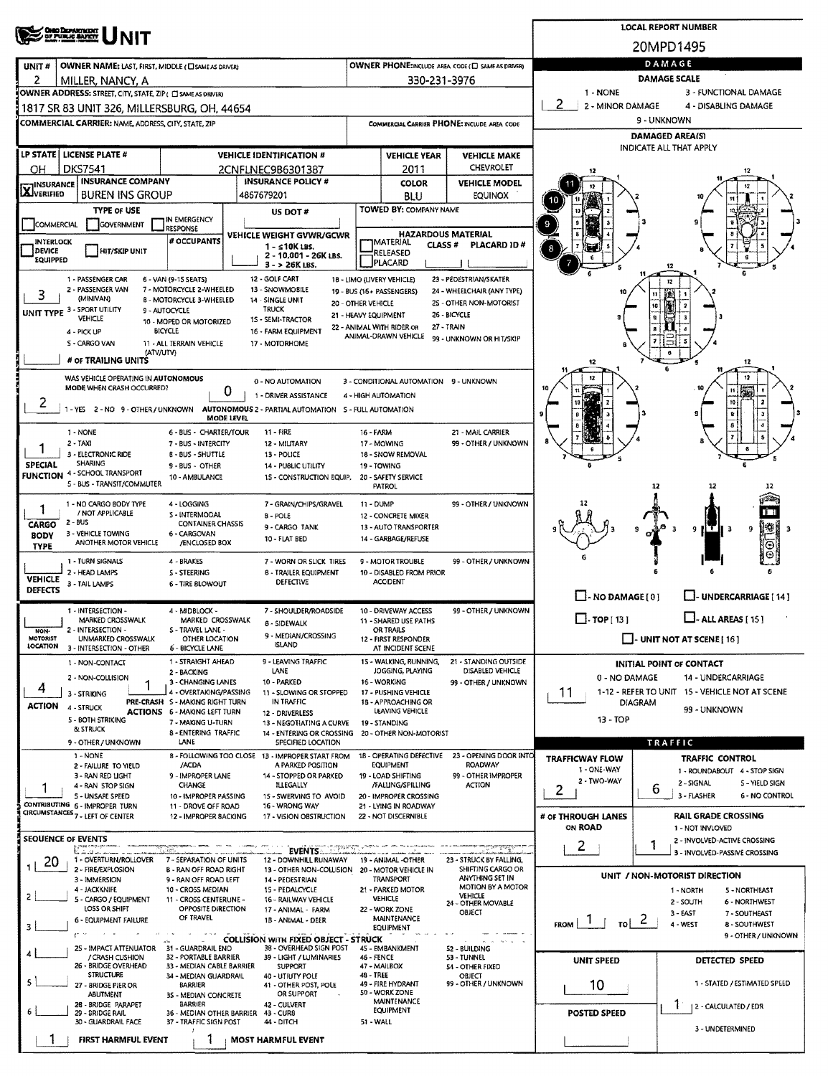| <b>CHIO DEPARTMENT</b><br>DY PUBLIC BAFETY                                                       |                                                                                                    | <b>LOCAL REPORT NUMBER</b>                                                                        |                                                 |                                               |                                                                                                    |                                                        |  |  |  |  |  |
|--------------------------------------------------------------------------------------------------|----------------------------------------------------------------------------------------------------|---------------------------------------------------------------------------------------------------|-------------------------------------------------|-----------------------------------------------|----------------------------------------------------------------------------------------------------|--------------------------------------------------------|--|--|--|--|--|
|                                                                                                  |                                                                                                    |                                                                                                   |                                                 |                                               |                                                                                                    | 20MPD1495                                              |  |  |  |  |  |
| OWNER NAME: LAST, FIRST, MIDDLE (C) SAME AS DRIVERY<br>UNIT#                                     |                                                                                                    | DAMAGE                                                                                            |                                                 |                                               |                                                                                                    |                                                        |  |  |  |  |  |
| 2<br>MILLER, NANCY, A<br>OWNER ADDRESS: STREET, CITY, STATE, ZIP ( C) SAME AS DRIVERY            |                                                                                                    |                                                                                                   | 330-231-3976                                    |                                               | 1 - NONE                                                                                           | <b>DAMAGE SCALE</b><br>3 - FUNCTIONAL DAMAGE           |  |  |  |  |  |
| 1817 SR 83 UNIT 326, MILLERSBURG, OH, 44654                                                      |                                                                                                    |                                                                                                   |                                                 |                                               | 2 - MINOR DAMAGE                                                                                   | 4 - DISABLING DAMAGE                                   |  |  |  |  |  |
| COMMERCIAL CARRIER: NAME, ADDRESS, CITY, STATE, ZIP                                              |                                                                                                    |                                                                                                   |                                                 | COMMERCIAL CARRIER PHONE: INCLUDE AREA CODE   | 9 - UNKNOWN                                                                                        |                                                        |  |  |  |  |  |
|                                                                                                  |                                                                                                    |                                                                                                   |                                                 |                                               | DAMAGED AREA(S)<br>INDICATE ALL THAT APPLY                                                         |                                                        |  |  |  |  |  |
| LP STATE   LICENSE PLATE #                                                                       | <b>VEHICLE IDENTIFICATION #</b>                                                                    |                                                                                                   | <b>VEHICLE YEAR</b>                             | <b>VEHICLE MAKE</b><br><b>CHEVROLET</b>       |                                                                                                    |                                                        |  |  |  |  |  |
| <b>DKS7541</b><br>OН<br><b>INSURANCE COMPANY</b><br><b>IINSURANCE</b>                            | 2CNFLNEC9B6301387                                                                                  | <b>INSURANCE POLICY #</b>                                                                         | 2011<br><b>COLOR</b>                            | <b>VEHICLE MODEL</b>                          | 12                                                                                                 |                                                        |  |  |  |  |  |
| <b>LAJVERIFIED</b><br><b>BUREN INS GROUP</b>                                                     | 4867679201                                                                                         |                                                                                                   | BLU                                             | EQUINOX                                       |                                                                                                    |                                                        |  |  |  |  |  |
| <b>TYPE OF USE</b><br><b>COMMERCIAL</b><br><b>GOVERNMENT</b>                                     | IN EMERGENCY                                                                                       | US DOT#                                                                                           | TOWED BY: COMPANY NAME                          |                                               |                                                                                                    |                                                        |  |  |  |  |  |
| RESPONSE<br><b>INTERLOCK</b>                                                                     | # OCCUPANTS                                                                                        | VEHICLE WEIGHT GVWR/GCWR                                                                          | <b>HAZARDOUS MATERIAL</b><br> MATERIAL          |                                               |                                                                                                    |                                                        |  |  |  |  |  |
| DEVICE<br>HIT/SKIP UNIT<br>EQUIPPED                                                              |                                                                                                    | 1 - ≤10K LBS.<br>2 - 10,001 - 26K LBS.                                                            | <b>CLASS#</b><br>RELEASED<br>PLACARD            | PLACARD ID#                                   | 8                                                                                                  |                                                        |  |  |  |  |  |
| 1 - PASSENGER CAR<br>6 - VAN (9-15 SEATS)                                                        | 12 - GOLF CART                                                                                     | $3 - 26K$ LBS.<br>18 - LIMO (LIVERY VEHICLE)                                                      |                                                 | 23 - PEDESTRIAN/SKATER                        |                                                                                                    | 12                                                     |  |  |  |  |  |
| 2 - PASSENGER VAN<br>3<br>(MINIVAN)                                                              | 7 - MOTORCYCLE 2-WHEELED<br>13 - SNOWMOBILE<br><b>B - MOTORCYCLE 3-WHEELED</b><br>14 - SINGLE UNIT | 24 - WHEELCHAIR (ANY TYPE)                                                                        |                                                 |                                               |                                                                                                    |                                                        |  |  |  |  |  |
| UNIT TYPE 3 - SPORT UTILITY<br>9 - AUTOCYCLE<br><b>VEHICLE</b>                                   | <b>TRUCK</b><br>1S - SEMI-TRACTOR                                                                  | 20 - OTHER VEHICLE<br>21 - HEAVY EQUIPMENT                                                        |                                                 | 25 - OTHER NON-MOTORIST<br>26 - BICYCLE       |                                                                                                    | - 2<br>10<br>$\overline{\mathbf{3}}$                   |  |  |  |  |  |
| <b>BICYCLE</b><br>4 - PICK UP                                                                    | 10 - MOPED OR MOTORIZED                                                                            | 22 - ANIMAL WITH RIDER OR<br>16 - FARM EQUIPMENT                                                  | ANIMAL-DRAWN VEHICLE                            | 27 - TRAIN<br>99 - UNKNOWN OR HIT/SKIP        |                                                                                                    |                                                        |  |  |  |  |  |
| S - CARGO VAN<br>(ATV/UTV)                                                                       | 11 - ALL TERRAIN VEHICLE<br>17 - MOTORHOME                                                         |                                                                                                   |                                                 |                                               |                                                                                                    |                                                        |  |  |  |  |  |
| # OF TRAILING UNITS                                                                              |                                                                                                    |                                                                                                   |                                                 |                                               | 12                                                                                                 | 12                                                     |  |  |  |  |  |
| WAS VEHICLE OPERATING IN AUTONOMOUS<br>MODE WHEN CRASH OCCURRED?                                 | 0 - NO AUTOMATION<br>0                                                                             | 3 - CONDITIONAL AUTOMATION 9 - UNKNOWN                                                            |                                                 | 11                                            |                                                                                                    |                                                        |  |  |  |  |  |
| ۷<br>1 - YES 2 - NO 9 - OTHER / UNKNOWN                                                          | 1 - DRIVER ASSISTANCE<br>AUTONOMOUS 2 - PARTIAL AUTOMATION 5 - FULL AUTOMATION                     |                                                                                                   |                                                 | 10                                            |                                                                                                    |                                                        |  |  |  |  |  |
|                                                                                                  | MODE LEVEL<br>11 - FIRE                                                                            |                                                                                                   |                                                 |                                               |                                                                                                    |                                                        |  |  |  |  |  |
| 1 - NONE<br>2 - TAXI                                                                             | 6 - BUS - CHARTER/TOUR<br>7 - BUS - INTERCITY                                                      | 12 - MILITARY                                                                                     | 16 - FARM<br>17 - MOWING                        | 21 - MAIL CARRIER<br>99 - OTHER / UNKNOWN     |                                                                                                    |                                                        |  |  |  |  |  |
| 3 - ELECTRONIC RIDE<br><b>SHARING</b><br><b>SPECIAL</b>                                          | <b>B-BUS-SHUTTLE</b><br>13 - POLICE<br>9 - BUS - OTHER                                             | 14 - PUBLIC UTILITY                                                                               | 18 - SNOW REMOVAL<br>19 - TOWING                |                                               |                                                                                                    |                                                        |  |  |  |  |  |
| 4 - SCHOOL TRANSPORT<br><b>FUNCTION</b><br>10 - AMBULANCE<br>5 - BUS - TRANSIT/COMMUTER          | 12<br>12                                                                                           |                                                                                                   |                                                 |                                               |                                                                                                    |                                                        |  |  |  |  |  |
| 1 - NO CARGO BODY TYPE                                                                           | 4 - LOGGING                                                                                        | 7 - GRAIN/CHIPS/GRAVEL                                                                            | <b>PATROL</b><br>11 - DUMP                      | 99 - OTHER / UNKNOWN                          |                                                                                                    |                                                        |  |  |  |  |  |
| ı<br>/ NOT APPLICABLE<br>$2 - BUS$<br>CARGO                                                      | S - INTERMODAL<br>8 - POLE<br><b>CONTAINER CHASSIS</b>                                             |                                                                                                   | 12 - CONCRETE MIXER                             |                                               |                                                                                                    |                                                        |  |  |  |  |  |
| 3 - VEHICLE TOWING<br><b>BODY</b><br>ANOTHER MOTOR VEHICLE                                       | 6 - CARGOVAN<br>/ENCLOSED BOX                                                                      | 9 - CARGO TANK<br>10 - FLAT BED                                                                   | 13 - AUTO TRANSPORTER<br>14 - GARBAGE/REFUSE    |                                               |                                                                                                    | 88<br>9<br>9<br>Е                                      |  |  |  |  |  |
| <b>TYPE</b><br>1 - TURN SIGNALS                                                                  | 4 - BRAKES                                                                                         | 7 - WORN OR SLICK TIRES                                                                           | 9 - MOTOR TROUBLE                               | 99 - OTHER / UNKNOWN                          |                                                                                                    | ⊕                                                      |  |  |  |  |  |
| 2 - HEAD LAMPS<br><b>VEHICLE</b>                                                                 | <b>S-STEERING</b>                                                                                  | 8 - TRAILER EQUIPMENT<br><b>DEFECTIVE</b>                                                         | 10 - DISABLED FROM PRIOR<br><b>ACCIDENT</b>     |                                               |                                                                                                    |                                                        |  |  |  |  |  |
| 3 - TAIL LAMPS<br><b>DEFECTS</b>                                                                 | 6 - TIRE BLOWOUT                                                                                   |                                                                                                   |                                                 |                                               | $\Box$ - NO DAMAGE [ 0 ]                                                                           | LI-UNDERCARRIAGE [ 14 ]                                |  |  |  |  |  |
| 1 - INTERSECTION -<br>MARKED CROSSWALK                                                           | 4 - MIDBLOCK -<br>MARKED CROSSWALK                                                                 | 7 - SHOULDER/ROADSIDE                                                                             | 10 - DRIVEWAY ACCESS<br>11 - SHARED USE PATHS   | 99 - OTHER / UNKNOWN                          | $\Box$ . TOP [ 13 ]                                                                                | $\Box$ - ALL AREAS [ 15 ]                              |  |  |  |  |  |
| 2 - INTERSECTION -<br>NON-<br><b>MOTORIST</b><br>UNMARKED CROSSWALK                              | S - TRAVEL LANE -<br>OTHER LOCATION                                                                | 8 - SIDEWALK<br>9 - MEDIAN/CROSSING                                                               | OR TRAILS<br>12 - FIRST RESPONDER               |                                               |                                                                                                    | $\Box$ - UNIT NOT AT SCENE [ 16 ]                      |  |  |  |  |  |
| LOCATION<br>3 - INTERSECTION - OTHER                                                             | <b>6 - BICYCLE LANE</b>                                                                            | <b>ISLAND</b>                                                                                     | AT INCIDENT SCENE                               |                                               |                                                                                                    |                                                        |  |  |  |  |  |
| 1 - NON-CONTACT                                                                                  | 1 - STRAIGHT AHEAD<br>LANE<br>2 - BACKING                                                          | 9 - LEAVING TRAFFIC                                                                               | 15 - WALKING, RUNNING,<br>JOGGING, PLAYING      | 21 - STANDING OUTSIDE<br>DISABLED VEHICLE     |                                                                                                    | INITIAL POINT OF CONTACT                               |  |  |  |  |  |
| 2 - NON-COLLISION<br>1<br>4<br>3 - STRIKING                                                      | 3 - CHANGING LANES<br>10 - PARKED<br>4 - OVERTAKING/PASSING                                        | 11 - SLOWING OR STOPPED                                                                           | 16 - WORKING<br>17 - PUSHING VEHICLE            | 99 - OTHER / UNKNOWN                          | 0 - NO DAMAGE<br><b>14 - UNDERCARRIAGE</b><br>11<br>1-12 - REFER TO UNIT 15 - VEHICLE NOT AT SCENE |                                                        |  |  |  |  |  |
| <b>ACTION</b><br>4 - STRUCK                                                                      | PRE-CRASH S - MAKING RIGHT TURN<br><b>ACTIONS 6 - MAKING LEFT TURN</b>                             | IN TRAFFIC<br>12 - DRIVERLESS                                                                     | 18 - APPROACHING OR<br>LEAVING VEHICLE          |                                               | <b>DIAGRAM</b><br>99 - UNKNOWN                                                                     |                                                        |  |  |  |  |  |
| <b>5 - BOTH STRIKING</b><br>& STRUCK                                                             | 7 - MAKING U-TURN<br>8 - ENTERING TRAFFIC                                                          | 13 - NEGOTIATING A CURVE                                                                          | 19 - STANDING                                   |                                               | 13 - TOP                                                                                           |                                                        |  |  |  |  |  |
| 9 - OTHER / UNKNOWN                                                                              | LANE                                                                                               | 14 - ENTERING OR CROSSING<br><b>SPECIFIED LOCATION</b>                                            | 20 - OTHER NON-MOTORIST                         |                                               | TRAFFIC                                                                                            |                                                        |  |  |  |  |  |
| 1 - NONE<br>2 - FAILURE TO YIELD                                                                 | B - FOLLOWING TOO CLOSE 13 - IMPROPER START FROM<br>/ACDA                                          | A PARKED POSITION                                                                                 | 1B - OPERATING DEFECTIVE<br><b>EQUIPMENT</b>    | 23 - OPENING DOOR INTO<br><b>ROADWAY</b>      | <b>TRAFFICWAY FLOW</b><br>1 - ONE-WAY                                                              | <b>TRAFFIC CONTROL</b><br>1 - ROUNDABOUT 4 - STOP SIGN |  |  |  |  |  |
| 3 - RAN RED LIGHT<br>4 - RAN STOP SIGN                                                           | 9 - IMPROPER LANE<br><b>CHANGE</b>                                                                 | 14 - STOPPED OR PARKED<br><b>ILLEGALLY</b>                                                        | 19 - LOAD SHIFTING<br>/FALLING/SPILLING         | 99 - OTHER IMPROPER<br>ACTION                 | 2 - TWO-WAY                                                                                        | 2 - SIGNAL<br>S - YIELD SIGN<br>b                      |  |  |  |  |  |
| S - UNSAFE SPEED<br>CONTRIBUTING 6 - IMPROPER TURN                                               | 10 - IMPROPER PASSING<br>11 - DROVE OFF ROAD                                                       | 15 - SWERVING TO AVOID<br>16 - WRONG WAY                                                          | 20 - IMPROPER CROSSING<br>21 - LYING IN ROADWAY |                                               | 2                                                                                                  | 3 - FLASHER<br>6 - NO CONTROL                          |  |  |  |  |  |
| CIRCUMSTANCES 7 - LEFT OF CENTER                                                                 | 12 - IMPROPER BACKING                                                                              | 17 - VISION OBSTRUCTION                                                                           | 22 - NOT DISCERNIBLE                            |                                               | # OF THROUGH LANES                                                                                 | <b>RAIL GRADE CROSSING</b>                             |  |  |  |  |  |
| SEQUENCE OF EVENTS                                                                               |                                                                                                    |                                                                                                   |                                                 |                                               | ON ROAD                                                                                            | 1 - NOT INVLOVED<br>2 - INVOLVED-ACTIVE CROSSING       |  |  |  |  |  |
| Elisabeth<br>$\mathcal{L}_\text{c}$ , with $\mathcal{L}_\text{c}$<br>1 - OVERTURN/ROLLOVER<br>20 | 7 - SEPARATION OF UNITS                                                                            | <b>EVENTS</b><br>12 - DOWNHILL RUNAWAY                                                            | 19 - ANIMAL -OTHER                              | <u>Televizione</u><br>23 - STRUCK BY FALLING, | 2.                                                                                                 | 3 - INVOLVED-PASSIVE CROSSING                          |  |  |  |  |  |
| 2 - FIRE/EXPLOSION<br>3 - IMMERSION                                                              | <b>B - RAN OFF ROAD RIGHT</b><br>9 - RAN OFF ROAD LEFT                                             | 13 - OTHER NON-COLLISION<br>14 - PEDESTRIAN                                                       | 20 - MOTOR VEHICLE IN<br>TRANSPORT              | SHIFTING CARGO OR<br>ANYTHING SET IN          |                                                                                                    | UNIT / NON-MOTORIST DIRECTION                          |  |  |  |  |  |
| 4 - JACKKNIFE<br>$\overline{2}$<br>5 - CARGO / EQUIPMENT                                         | 10 - CROSS MEDIAN<br>11 - CROSS CENTERUNE -                                                        | 15 - PEDALCYCLE<br><b>16 - RAILWAY VEHICLE</b>                                                    | 21 - PARKED MOTOR<br><b>VEHICLE</b>             | MOTION BY A MOTOR<br><b>VEHICLE</b>           | 1 - NORTH<br>5 - NORTHEAST                                                                         |                                                        |  |  |  |  |  |
| LOSS OR SHIFT<br>6 - EQUIPMENT FAILURE                                                           | OPPOSITE DIRECTION<br>OF TRAVEL                                                                    | 17 - ANIMAL - FARM<br>1B - ANIMAL - DEER                                                          | 22 - WORK ZONE<br><b>MAINTENANCE</b>            | 24 - OTHER MOVABLE<br>OBJECT                  | 2 - SOUTH<br>6 - NORTHWEST<br>$3 - EAST$<br>7 - SOUTHEAST<br>$\mathbf{z}$                          |                                                        |  |  |  |  |  |
| з<br>$\alpha = 100$<br>ge in                                                                     |                                                                                                    |                                                                                                   | EQUIPMENT                                       |                                               | <b>FROM</b><br>TO                                                                                  | 4 - WEST<br>8 - SOUTHWEST<br>9 - OTHER / UNKNOWN       |  |  |  |  |  |
| 25 - IMPACT ATTENUATOR<br>/ CRASH CUSHION                                                        | 31 - GUARDRAIL END<br>32 - PORTABLE BARRIER                                                        | <b>COLLISION WITH FIXED OBJECT - STRUCK</b><br>38 - OVERHEAD SIGN POST<br>39 - LIGHT / LUMINARIE5 | 45 - EMBANKMENT<br>46 - FENCE                   | S2 - BUILDING<br>53 - TUNNEL                  |                                                                                                    |                                                        |  |  |  |  |  |
| 26 - BRIDGE OVERHEAD<br><b>STRUCTURE</b>                                                         | 33 - MEDIAN CABLE BARRIER<br>34 - MEDIAN GUARDRAIL                                                 | <b>SUPPORT</b><br>48 - TREE<br>40 - UTIUTY POLE                                                   | 47 - MAILBOX                                    | 54 - OTHER FIXED<br>OBJECT                    | <b>UNIT SPEED</b>                                                                                  | DETECTED SPEED                                         |  |  |  |  |  |
| 5<br>27 - BRIDGE PIER OR<br>ABUTMENT                                                             | <b>BARRIER</b>                                                                                     | 41 - OTHER POST, POLE<br>OR SUPPORT                                                               | 49 - FIRE HYDRANT<br>50 - WORK ZONE             | 99 - OTHER / UNKNOWN                          | 10                                                                                                 | 1 - STATED / ESTIMATED SPEED                           |  |  |  |  |  |
| 28 - BRIDGE PARAPET<br>6<br>29 - BRIDGE RAIL                                                     | 3S - MEDIAN CONCRETE<br><b>BARRIER</b><br>36 - MEDIAN OTHER BARRIER<br>43 - CUR8                   | 42 - CULVERT                                                                                      | MAINTENANCE<br>EQUIPMENT                        |                                               | <b>POSTED SPEED</b>                                                                                | 2 - CALCULATED / EDR                                   |  |  |  |  |  |
| 30 - GUARDRAIL FACE                                                                              | 37 - TRAFFIC SIGN POST<br>44 - DITCH                                                               | 51 - WALL                                                                                         |                                                 |                                               | 3 - UNDETERMINED                                                                                   |                                                        |  |  |  |  |  |
| FIRST HARMFUL EVENT                                                                              | <b>MOST HARMFUL EVENT</b>                                                                          |                                                                                                   |                                                 |                                               |                                                                                                    |                                                        |  |  |  |  |  |